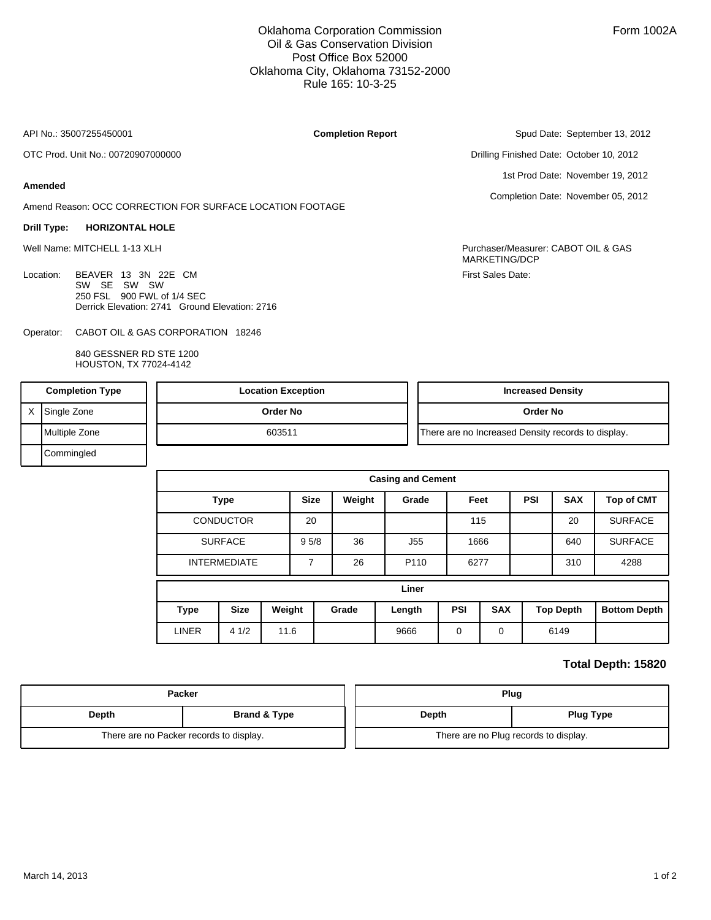Oklahoma Corporation Commission Oil & Gas Conservation Division Post Office Box 52000 Oklahoma City, Oklahoma 73152-2000 Rule 165: 10-3-25

**Completion Report**

API No.: 35007255450001

OTC Prod. Unit No.: 00720907000000

## **Amended**

Amend Reason: OCC CORRECTION FOR SURFACE LOCATION FOOTAGE

## **Drill Type: HORIZONTAL HOLE**

Location: BEAVER 13 3N 22E CM SW SE SW SW 250 FSL 900 FWL of 1/4 SEC Derrick Elevation: 2741 Ground Elevation: 2716

CABOT OIL & GAS CORPORATION 18246 Operator:

> 840 GESSNER RD STE 1200 HOUSTON, TX 77024-4142

Spud Date: September 13, 2012

Drilling Finished Date: October 10, 2012

1st Prod Date: November 19, 2012

Completion Date: November 05, 2012

Well Name: MITCHELL 1-13 XLH Purchaser/Measurer: CABOT OIL & GAS MARKETING/DCP First Sales Date:

| <b>Completion Type</b> |               | <b>Location Exception</b> | <b>Increased Density</b>                           |
|------------------------|---------------|---------------------------|----------------------------------------------------|
|                        | Single Zone   | Order No                  | Order No                                           |
|                        | Multiple Zone | 603511                    | There are no Increased Density records to display. |
|                        | Commingled    |                           |                                                    |

| <b>Casing and Cement</b> |                                                       |  |             |        |                      |            |            |            |                  |                     |  |
|--------------------------|-------------------------------------------------------|--|-------------|--------|----------------------|------------|------------|------------|------------------|---------------------|--|
| <b>Type</b>              |                                                       |  | <b>Size</b> | Weight | Grade                | Feet       |            | <b>PSI</b> | <b>SAX</b>       | <b>Top of CMT</b>   |  |
|                          | <b>CONDUCTOR</b>                                      |  | 20          |        |                      | 115        |            |            | 20               | <b>SURFACE</b>      |  |
|                          | <b>SURFACE</b>                                        |  |             | 36     | J55                  | 1666       |            |            | 640              | <b>SURFACE</b>      |  |
| <b>INTERMEDIATE</b>      |                                                       |  | 7           | 26     | P110                 | 6277       |            |            | 310              | 4288                |  |
|                          |                                                       |  |             |        | Liner                |            |            |            |                  |                     |  |
| Type                     | Weight<br><b>Size</b><br><b>LINER</b><br>11.6<br>41/2 |  | Grade       |        | Length               | <b>PSI</b> | <b>SAX</b> |            | <b>Top Depth</b> | <b>Bottom Depth</b> |  |
|                          |                                                       |  |             | 9666   | $\Omega$<br>$\Omega$ |            |            | 6149       |                  |                     |  |

## **Total Depth: 15820**

| Packer                                  |                         |  |  |  |  |  |
|-----------------------------------------|-------------------------|--|--|--|--|--|
| Depth                                   | <b>Brand &amp; Type</b> |  |  |  |  |  |
| There are no Packer records to display. |                         |  |  |  |  |  |

|  | Plug                                  |                  |  |  |  |  |  |  |
|--|---------------------------------------|------------------|--|--|--|--|--|--|
|  | Depth                                 | <b>Plug Type</b> |  |  |  |  |  |  |
|  | There are no Plug records to display. |                  |  |  |  |  |  |  |